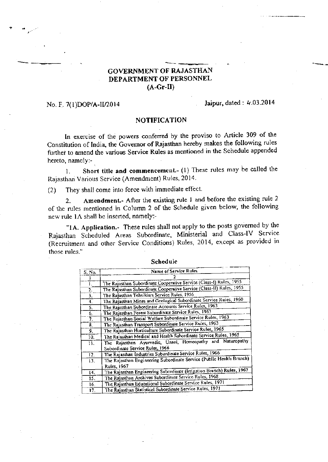# **GOVERNMENT OF RAJASTHAN** DEPARTMENT OF PERSONNEL  $(A-Gr-II)$

#### No. F. 7(1)DOP/A-II/2014

## Jaipur, dated: 4.03.2014

### **NOTIFICATION**

In exercise of the powers conferred by the proviso to Article 309 of the Constitution of India, the Governor of Rajasthan hereby makes the following rules further to amend the various Service Rules as mentioned in the Schedule appended hereto, namely:-

Short title and commencement.- (1) These rules may be called the  $\mathbf{I}$ . Rajasthan Various Service (Amendment) Rules, 2014.

They shall come into force with immediate effect.  $(2)$ 

Amendment. After the existing rule 1 and before the existing rule 2  $\overline{2}$ . of the rules mentioned in Column 2 of the Schedule given below, the following new rule IA shall be inserted, namely:-

"IA. Application.- These rules shall not apply to the posts governed by the Rajasthan Scheduled Areas Subordinate, Ministerial and Class-IV Service (Recruitment and other Service Conditions) Rules, 2014, except as provided in those rules."

| S. No. | Name of Service Rules                                                 |
|--------|-----------------------------------------------------------------------|
|        |                                                                       |
| 1.     | The Rajasthan Subordinate Cooperative Service (Class-1) Rules, 1955   |
| 2.     | The Rajasthan Subordinate Cooperative Service (Class-II) Rules, 1955  |
| 3.     | The Rajasthan Tehsildars Service Rules, 1956                          |
| 4.     | The Rajasthan Mines and Geological Subordinate Service Rules, 1960    |
| 5.     | The Rajasthan Subordinate Accounts Service Rules, 1963.               |
| 6.     | The Rajasthan Forest Subordinate Service Rules, 1963                  |
| 7.     | The Rajasthan Social Welfare Subordinate Service Rules, 1963          |
| 8.     | The Rajasthan Transport Subordinate Service Rules, 1963               |
| 9.     | The Rajasthan Horticulture Subordinate Service Rules, 1965            |
| 10.    | The Rajasthan Medical and Health Subordinate Service Rules, 1965      |
| 11.    | The Rajasthan Ayurvedic, Unani, Homeopathy and Naturopathy            |
|        | Subordinate Service Rules, 1966                                       |
| 12.    | The Rajasihan Industries Subordinate Service Rules, 1966              |
| 13.    | The Rajasthan Engineering Subordinate Service (Public Health Branch)  |
|        | Rules, 1967                                                           |
| 14.    | The Rajasthan Engineering Subordinate (Irrigation Branch) Rules, 1967 |
| 15.    | The Rajasthan Archives Subordinate Service Rules, 1968.               |
| 16.    | The Rajasthan Educational Subordinate Service Rules, 1971             |
| 17.    | The Rajasthan Statistical Subordinate Service Rules, 1971             |

#### Schedule